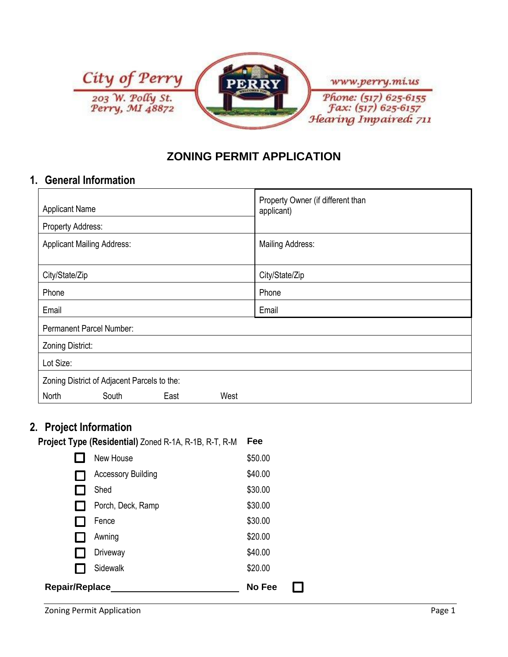

## **ZONING PERMIT APPLICATION**

## **1. General Information**

| <b>Applicant Name</b>                       |       |      |      | Property Owner (if different than<br>applicant) |  |
|---------------------------------------------|-------|------|------|-------------------------------------------------|--|
| Property Address:                           |       |      |      |                                                 |  |
| <b>Applicant Mailing Address:</b>           |       |      |      | Mailing Address:                                |  |
| City/State/Zip                              |       |      |      | City/State/Zip                                  |  |
| Phone                                       |       |      |      | Phone                                           |  |
| Email                                       |       |      |      | Email                                           |  |
| Permanent Parcel Number:                    |       |      |      |                                                 |  |
| Zoning District:                            |       |      |      |                                                 |  |
| Lot Size:                                   |       |      |      |                                                 |  |
| Zoning District of Adjacent Parcels to the: |       |      |      |                                                 |  |
| North                                       | South | East | West |                                                 |  |

 $\Box$ 

## **2. Project Information**

| Fee<br>Project Type (Residential) Zoned R-1A, R-1B, R-T, R-M |                           |         |  |  |  |
|--------------------------------------------------------------|---------------------------|---------|--|--|--|
|                                                              | New House                 | \$50.00 |  |  |  |
|                                                              | <b>Accessory Building</b> | \$40.00 |  |  |  |
|                                                              | Shed                      | \$30.00 |  |  |  |
|                                                              | Porch, Deck, Ramp         | \$30.00 |  |  |  |
|                                                              | Fence                     | \$30.00 |  |  |  |
|                                                              | Awning                    | \$20.00 |  |  |  |
|                                                              | Driveway                  | \$40.00 |  |  |  |
|                                                              | Sidewalk                  | \$20.00 |  |  |  |
| Repair/Replace                                               | No Fee                    |         |  |  |  |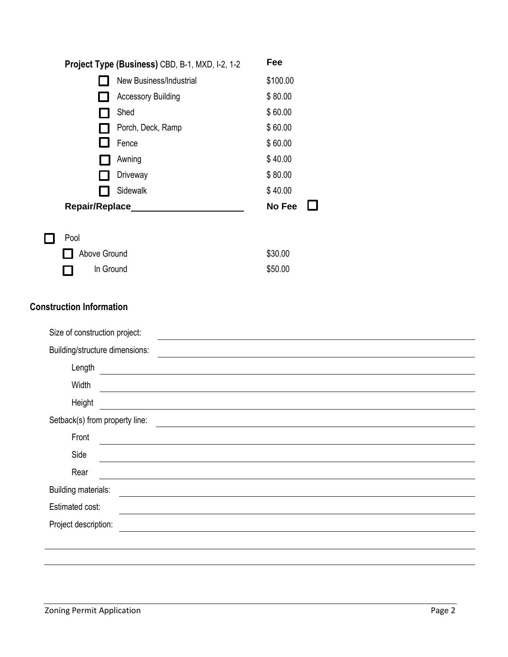| Fee      |
|----------|
| \$100.00 |
| \$80.00  |
| \$60.00  |
| \$60.00  |
| \$60.00  |
| \$40.00  |
| \$80.00  |
| \$40.00  |
| No Fee   |
| \$30.00  |
| \$50.00  |
|          |
|          |
|          |
|          |
|          |
|          |
|          |
|          |
|          |
|          |
|          |
|          |
|          |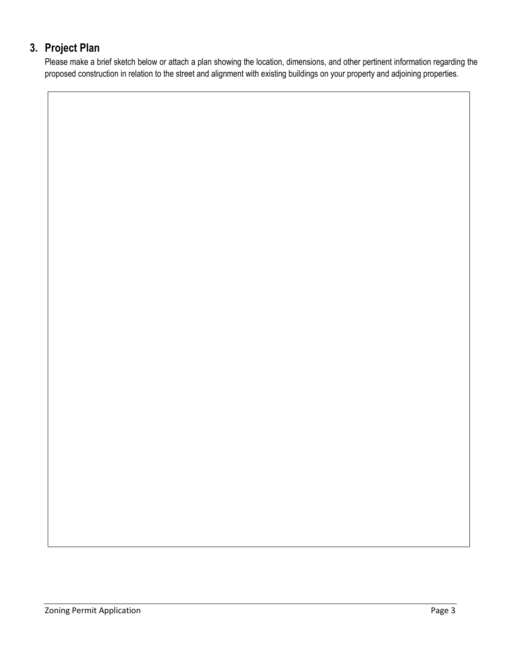# **3. Project Plan**

Please make a brief sketch below or attach a plan showing the location, dimensions, and other pertinent information regarding the proposed construction in relation to the street and alignment with existing buildings on your property and adjoining properties.